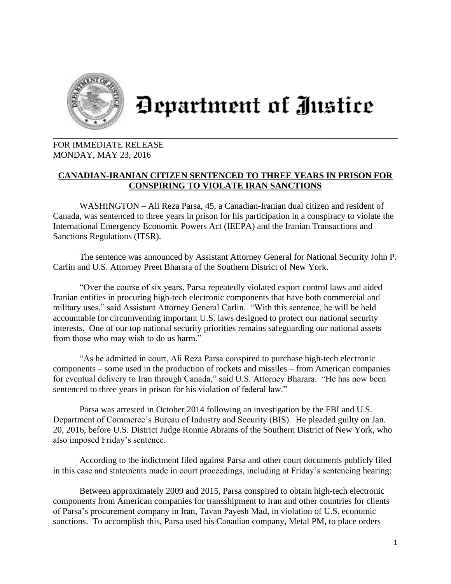

## Department of Justice

## FOR IMMEDIATE RELEASE MONDAY, MAY 23, 2016

## **CANADIAN-IRANIAN CITIZEN SENTENCED TO THREE YEARS IN PRISON FOR CONSPIRING TO VIOLATE IRAN SANCTIONS**

WASHINGTON – Ali Reza Parsa, 45, a Canadian-Iranian dual citizen and resident of Canada, was sentenced to three years in prison for his participation in a conspiracy to violate the International Emergency Economic Powers Act (IEEPA) and the Iranian Transactions and Sanctions Regulations (ITSR).

The sentence was announced by Assistant Attorney General for National Security John P. Carlin and U.S. Attorney Preet Bharara of the Southern District of New York.

"Over the course of six years, Parsa repeatedly violated export control laws and aided Iranian entities in procuring high-tech electronic components that have both commercial and military uses," said Assistant Attorney General Carlin. "With this sentence, he will be held accountable for circumventing important U.S. laws designed to protect our national security interests. One of our top national security priorities remains safeguarding our national assets from those who may wish to do us harm."

"As he admitted in court, Ali Reza Parsa conspired to purchase high-tech electronic components – some used in the production of rockets and missiles – from American companies for eventual delivery to Iran through Canada," said U.S. Attorney Bharara. "He has now been sentenced to three years in prison for his violation of federal law."

Parsa was arrested in October 2014 following an investigation by the FBI and U.S. Department of Commerce's Bureau of Industry and Security (BIS). He pleaded guilty on Jan. 20, 2016, before U.S. District Judge Ronnie Abrams of the Southern District of New York, who also imposed Friday's sentence.

According to the indictment filed against Parsa and other court documents publicly filed in this case and statements made in court proceedings, including at Friday's sentencing hearing:

Between approximately 2009 and 2015, Parsa conspired to obtain high-tech electronic components from American companies for transshipment to Iran and other countries for clients of Parsa's procurement company in Iran, Tavan Payesh Mad, in violation of U.S. economic sanctions. To accomplish this, Parsa used his Canadian company, Metal PM, to place orders